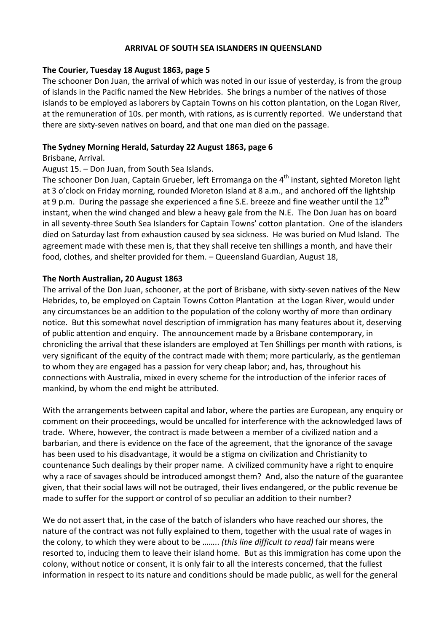#### **ARRIVAL OF SOUTH SEA ISLANDERS IN QUEENSLAND**

#### **The Courier, Tuesday 18 August 1863, page 5**

The schooner Don Juan, the arrival of which was noted in our issue of yesterday, is from the group of islands in the Pacific named the New Hebrides. She brings a number of the natives of those islands to be employed as laborers by Captain Towns on his cotton plantation, on the Logan River, at the remuneration of 10s. per month, with rations, as is currently reported. We understand that there are sixty‐seven natives on board, and that one man died on the passage.

### **The Sydney Morning Herald, Saturday 22 August 1863, page 6**

#### Brisbane, Arrival.

# August 15. – Don Juan, from South Sea Islands.

The schooner Don Juan, Captain Grueber, left Erromanga on the 4<sup>th</sup> instant, sighted Moreton light at 3 o'clock on Friday morning, rounded Moreton Island at 8 a.m., and anchored off the lightship at 9 p.m. During the passage she experienced a fine S.E. breeze and fine weather until the 12<sup>th</sup> instant, when the wind changed and blew a heavy gale from the N.E. The Don Juan has on board in all seventy‐three South Sea Islanders for Captain Towns' cotton plantation. One of the islanders died on Saturday last from exhaustion caused by sea sickness. He was buried on Mud Island. The agreement made with these men is, that they shall receive ten shillings a month, and have their food, clothes, and shelter provided for them. – Queensland Guardian, August 18,

# **The North Australian, 20 August 1863**

The arrival of the Don Juan, schooner, at the port of Brisbane, with sixty‐seven natives of the New Hebrides, to, be employed on Captain Towns Cotton Plantation at the Logan River, would under any circumstances be an addition to the population of the colony worthy of more than ordinary notice. But this somewhat novel description of immigration has many features about it, deserving of public attention and enquiry. The announcement made by a Brisbane contemporary, in chronicling the arrival that these islanders are employed at Ten Shillings per month with rations, is very significant of the equity of the contract made with them; more particularly, as the gentleman to whom they are engaged has a passion for very cheap labor; and, has, throughout his connections with Australia, mixed in every scheme for the introduction of the inferior races of mankind, by whom the end might be attributed.

With the arrangements between capital and labor, where the parties are European, any enquiry or comment on their proceedings, would be uncalled for interference with the acknowledged laws of trade. Where, however, the contract is made between a member of a civilized nation and a barbarian, and there is evidence on the face of the agreement, that the ignorance of the savage has been used to his disadvantage, it would be a stigma on civilization and Christianity to countenance Such dealings by their proper name. A civilized community have a right to enquire why a race of savages should be introduced amongst them? And, also the nature of the guarantee given, that their social laws will not be outraged, their lives endangered, or the public revenue be made to suffer for the support or control of so peculiar an addition to their number?

We do not assert that, in the case of the batch of islanders who have reached our shores, the nature of the contract was not fully explained to them, together with the usual rate of wages in the colony, to which they were about to be …….. *(this line difficult to read)* fair means were resorted to, inducing them to leave their island home. But as this immigration has come upon the colony, without notice or consent, it is only fair to all the interests concerned, that the fullest information in respect to its nature and conditions should be made public, as well for the general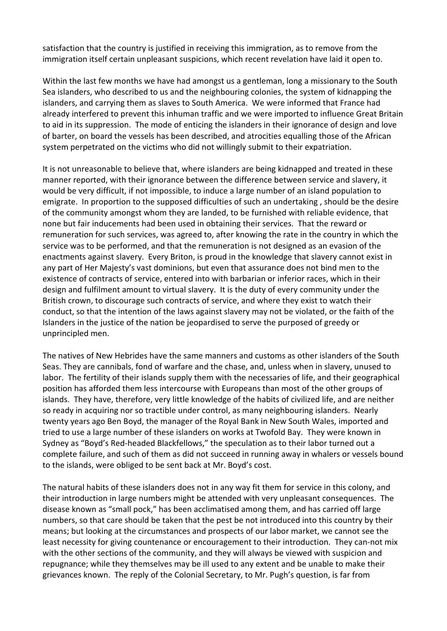satisfaction that the country is justified in receiving this immigration, as to remove from the immigration itself certain unpleasant suspicions, which recent revelation have laid it open to.

Within the last few months we have had amongst us a gentleman, long a missionary to the South Sea islanders, who described to us and the neighbouring colonies, the system of kidnapping the islanders, and carrying them as slaves to South America. We were informed that France had already interfered to prevent this inhuman traffic and we were imported to influence Great Britain to aid in its suppression. The mode of enticing the islanders in their ignorance of design and love of barter, on board the vessels has been described, and atrocities equalling those of the African system perpetrated on the victims who did not willingly submit to their expatriation.

It is not unreasonable to believe that, where islanders are being kidnapped and treated in these manner reported, with their ignorance between the difference between service and slavery, it would be very difficult, if not impossible, to induce a large number of an island population to emigrate. In proportion to the supposed difficulties of such an undertaking , should be the desire of the community amongst whom they are landed, to be furnished with reliable evidence, that none but fair inducements had been used in obtaining their services. That the reward or remuneration for such services, was agreed to, after knowing the rate in the country in which the service was to be performed, and that the remuneration is not designed as an evasion of the enactments against slavery. Every Briton, is proud in the knowledge that slavery cannot exist in any part of Her Majesty's vast dominions, but even that assurance does not bind men to the existence of contracts of service, entered into with barbarian or inferior races, which in their design and fulfilment amount to virtual slavery. It is the duty of every community under the British crown, to discourage such contracts of service, and where they exist to watch their conduct, so that the intention of the laws against slavery may not be violated, or the faith of the Islanders in the justice of the nation be jeopardised to serve the purposed of greedy or unprincipled men.

The natives of New Hebrides have the same manners and customs as other islanders of the South Seas. They are cannibals, fond of warfare and the chase, and, unless when in slavery, unused to labor. The fertility of their islands supply them with the necessaries of life, and their geographical position has afforded them less intercourse with Europeans than most of the other groups of islands. They have, therefore, very little knowledge of the habits of civilized life, and are neither so ready in acquiring nor so tractible under control, as many neighbouring islanders. Nearly twenty years ago Ben Boyd, the manager of the Royal Bank in New South Wales, imported and tried to use a large number of these islanders on works at Twofold Bay. They were known in Sydney as "Boyd's Red‐headed Blackfellows," the speculation as to their labor turned out a complete failure, and such of them as did not succeed in running away in whalers or vessels bound to the islands, were obliged to be sent back at Mr. Boyd's cost.

The natural habits of these islanders does not in any way fit them for service in this colony, and their introduction in large numbers might be attended with very unpleasant consequences. The disease known as "small pock," has been acclimatised among them, and has carried off large numbers, so that care should be taken that the pest be not introduced into this country by their means; but looking at the circumstances and prospects of our labor market, we cannot see the least necessity for giving countenance or encouragement to their introduction. They can-not mix with the other sections of the community, and they will always be viewed with suspicion and repugnance; while they themselves may be ill used to any extent and be unable to make their grievances known. The reply of the Colonial Secretary, to Mr. Pugh's question, is far from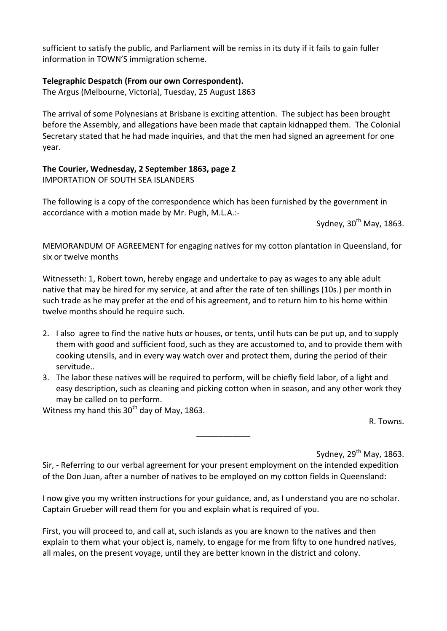sufficient to satisfy the public, and Parliament will be remiss in its duty if it fails to gain fuller information in TOWN'S immigration scheme.

# **Telegraphic Despatch (From our own Correspondent).**

The Argus (Melbourne, Victoria), Tuesday, 25 August 1863

The arrival of some Polynesians at Brisbane is exciting attention. The subject has been brought before the Assembly, and allegations have been made that captain kidnapped them. The Colonial Secretary stated that he had made inquiries, and that the men had signed an agreement for one year.

# **The Courier, Wednesday, 2 September 1863, page 2** IMPORTATION OF SOUTH SEA ISLANDERS

The following is a copy of the correspondence which has been furnished by the government in accordance with a motion made by Mr. Pugh, M.L.A.:‐

Sydney,  $30<sup>th</sup>$  May, 1863.

MEMORANDUM OF AGREEMENT for engaging natives for my cotton plantation in Queensland, for six or twelve months

Witnesseth: 1, Robert town, hereby engage and undertake to pay as wages to any able adult native that may be hired for my service, at and after the rate of ten shillings (10s.) per month in such trade as he may prefer at the end of his agreement, and to return him to his home within twelve months should he require such.

- 2. I also agree to find the native huts or houses, or tents, until huts can be put up, and to supply them with good and sufficient food, such as they are accustomed to, and to provide them with cooking utensils, and in every way watch over and protect them, during the period of their servitude..
- 3. The labor these natives will be required to perform, will be chiefly field labor, of a light and easy description, such as cleaning and picking cotton when in season, and any other work they may be called on to perform.

\_\_\_\_\_\_\_\_\_\_\_\_

Witness my hand this  $30<sup>th</sup>$  day of May, 1863.

R. Towns.

Sydney,  $29<sup>th</sup>$  May, 1863.

Sir, - Referring to our verbal agreement for your present employment on the intended expedition of the Don Juan, after a number of natives to be employed on my cotton fields in Queensland:

I now give you my written instructions for your guidance, and, as I understand you are no scholar. Captain Grueber will read them for you and explain what is required of you.

First, you will proceed to, and call at, such islands as you are known to the natives and then explain to them what your object is, namely, to engage for me from fifty to one hundred natives, all males, on the present voyage, until they are better known in the district and colony.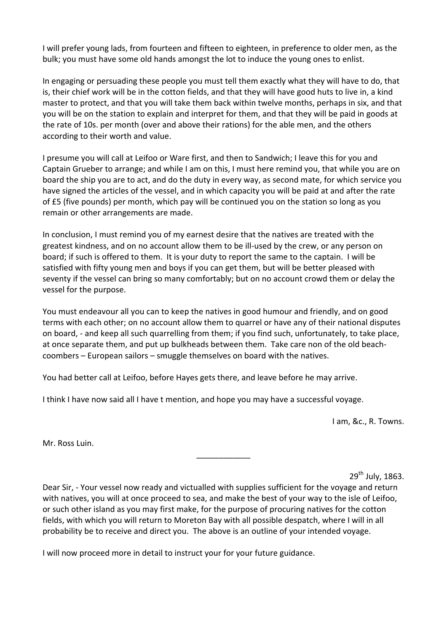I will prefer young lads, from fourteen and fifteen to eighteen, in preference to older men, as the bulk; you must have some old hands amongst the lot to induce the young ones to enlist.

In engaging or persuading these people you must tell them exactly what they will have to do, that is, their chief work will be in the cotton fields, and that they will have good huts to live in, a kind master to protect, and that you will take them back within twelve months, perhaps in six, and that you will be on the station to explain and interpret for them, and that they will be paid in goods at the rate of 10s. per month (over and above their rations) for the able men, and the others according to their worth and value.

I presume you will call at Leifoo or Ware first, and then to Sandwich; I leave this for you and Captain Grueber to arrange; and while I am on this, I must here remind you, that while you are on board the ship you are to act, and do the duty in every way, as second mate, for which service you have signed the articles of the vessel, and in which capacity you will be paid at and after the rate of £5 (five pounds) per month, which pay will be continued you on the station so long as you remain or other arrangements are made.

In conclusion, I must remind you of my earnest desire that the natives are treated with the greatest kindness, and on no account allow them to be ill‐used by the crew, or any person on board; if such is offered to them. It is your duty to report the same to the captain. I will be satisfied with fifty young men and boys if you can get them, but will be better pleased with seventy if the vessel can bring so many comfortably; but on no account crowd them or delay the vessel for the purpose.

You must endeavour all you can to keep the natives in good humour and friendly, and on good terms with each other; on no account allow them to quarrel or have any of their national disputes on board, ‐ and keep all such quarrelling from them; if you find such, unfortunately, to take place, at once separate them, and put up bulkheads between them. Take care non of the old beach‐ coombers – European sailors – smuggle themselves on board with the natives.

You had better call at Leifoo, before Hayes gets there, and leave before he may arrive.

I think I have now said all I have t mention, and hope you may have a successful voyage.

I am, &c., R. Towns.

Mr. Ross Luin.

29<sup>th</sup> July, 1863.

Dear Sir, ‐ Your vessel now ready and victualled with supplies sufficient for the voyage and return with natives, you will at once proceed to sea, and make the best of your way to the isle of Leifoo, or such other island as you may first make, for the purpose of procuring natives for the cotton fields, with which you will return to Moreton Bay with all possible despatch, where I will in all probability be to receive and direct you. The above is an outline of your intended voyage.

\_\_\_\_\_\_\_\_\_\_\_\_

I will now proceed more in detail to instruct your for your future guidance.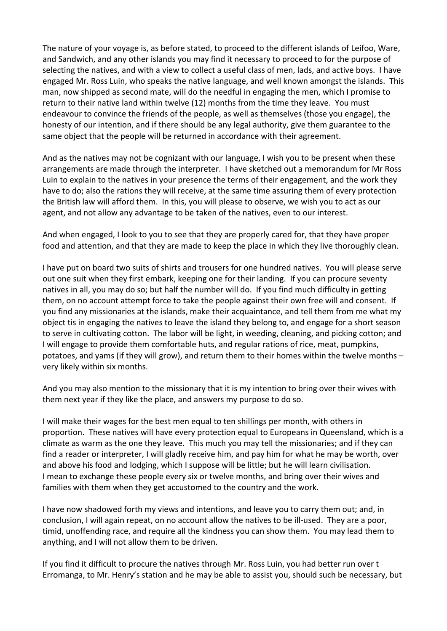The nature of your voyage is, as before stated, to proceed to the different islands of Leifoo, Ware, and Sandwich, and any other islands you may find it necessary to proceed to for the purpose of selecting the natives, and with a view to collect a useful class of men, lads, and active boys. I have engaged Mr. Ross Luin, who speaks the native language, and well known amongst the islands. This man, now shipped as second mate, will do the needful in engaging the men, which I promise to return to their native land within twelve (12) months from the time they leave. You must endeavour to convince the friends of the people, as well as themselves (those you engage), the honesty of our intention, and if there should be any legal authority, give them guarantee to the same object that the people will be returned in accordance with their agreement.

And as the natives may not be cognizant with our language, I wish you to be present when these arrangements are made through the interpreter. I have sketched out a memorandum for Mr Ross Luin to explain to the natives in your presence the terms of their engagement, and the work they have to do; also the rations they will receive, at the same time assuring them of every protection the British law will afford them. In this, you will please to observe, we wish you to act as our agent, and not allow any advantage to be taken of the natives, even to our interest.

And when engaged, I look to you to see that they are properly cared for, that they have proper food and attention, and that they are made to keep the place in which they live thoroughly clean.

I have put on board two suits of shirts and trousers for one hundred natives. You will please serve out one suit when they first embark, keeping one for their landing. If you can procure seventy natives in all, you may do so; but half the number will do. If you find much difficulty in getting them, on no account attempt force to take the people against their own free will and consent. If you find any missionaries at the islands, make their acquaintance, and tell them from me what my object tis in engaging the natives to leave the island they belong to, and engage for a short season to serve in cultivating cotton. The labor will be light, in weeding, cleaning, and picking cotton; and I will engage to provide them comfortable huts, and regular rations of rice, meat, pumpkins, potatoes, and yams (if they will grow), and return them to their homes within the twelve months – very likely within six months.

And you may also mention to the missionary that it is my intention to bring over their wives with them next year if they like the place, and answers my purpose to do so.

I will make their wages for the best men equal to ten shillings per month, with others in proportion. These natives will have every protection equal to Europeans in Queensland, which is a climate as warm as the one they leave. This much you may tell the missionaries; and if they can find a reader or interpreter, I will gladly receive him, and pay him for what he may be worth, over and above his food and lodging, which I suppose will be little; but he will learn civilisation. I mean to exchange these people every six or twelve months, and bring over their wives and families with them when they get accustomed to the country and the work.

I have now shadowed forth my views and intentions, and leave you to carry them out; and, in conclusion, I will again repeat, on no account allow the natives to be ill-used. They are a poor, timid, unoffending race, and require all the kindness you can show them. You may lead them to anything, and I will not allow them to be driven.

If you find it difficult to procure the natives through Mr. Ross Luin, you had better run over t Erromanga, to Mr. Henry's station and he may be able to assist you, should such be necessary, but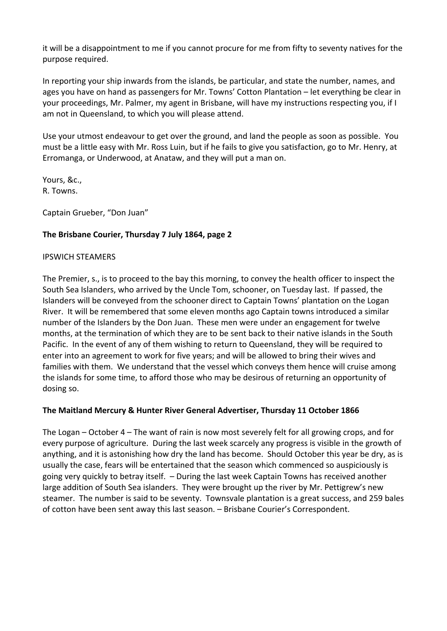it will be a disappointment to me if you cannot procure for me from fifty to seventy natives for the purpose required.

In reporting your ship inwards from the islands, be particular, and state the number, names, and ages you have on hand as passengers for Mr. Towns' Cotton Plantation – let everything be clear in your proceedings, Mr. Palmer, my agent in Brisbane, will have my instructions respecting you, if I am not in Queensland, to which you will please attend.

Use your utmost endeavour to get over the ground, and land the people as soon as possible. You must be a little easy with Mr. Ross Luin, but if he fails to give you satisfaction, go to Mr. Henry, at Erromanga, or Underwood, at Anataw, and they will put a man on.

Yours, &c., R. Towns.

Captain Grueber, "Don Juan"

# **The Brisbane Courier, Thursday 7 July 1864, page 2**

#### IPSWICH STEAMERS

The Premier, s., is to proceed to the bay this morning, to convey the health officer to inspect the South Sea Islanders, who arrived by the Uncle Tom, schooner, on Tuesday last. If passed, the Islanders will be conveyed from the schooner direct to Captain Towns' plantation on the Logan River. It will be remembered that some eleven months ago Captain towns introduced a similar number of the Islanders by the Don Juan. These men were under an engagement for twelve months, at the termination of which they are to be sent back to their native islands in the South Pacific. In the event of any of them wishing to return to Queensland, they will be required to enter into an agreement to work for five years; and will be allowed to bring their wives and families with them. We understand that the vessel which conveys them hence will cruise among the islands for some time, to afford those who may be desirous of returning an opportunity of dosing so.

# **The Maitland Mercury & Hunter River General Advertiser, Thursday 11 October 1866**

The Logan – October 4 – The want of rain is now most severely felt for all growing crops, and for every purpose of agriculture. During the last week scarcely any progress is visible in the growth of anything, and it is astonishing how dry the land has become. Should October this year be dry, as is usually the case, fears will be entertained that the season which commenced so auspiciously is going very quickly to betray itself. – During the last week Captain Towns has received another large addition of South Sea islanders. They were brought up the river by Mr. Pettigrew's new steamer. The number is said to be seventy. Townsvale plantation is a great success, and 259 bales of cotton have been sent away this last season. – Brisbane Courier's Correspondent.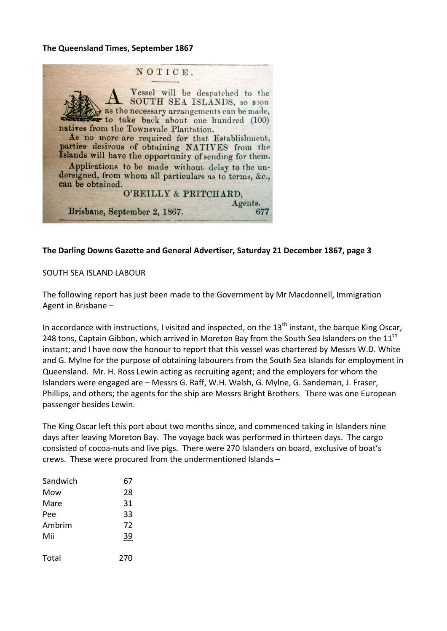#### **The Queensland Times, September 1867**



#### **The Darling Downs Gazette and General Advertiser, Saturday 21 December 1867, page 3**

#### SOUTH SEA ISLAND LABOUR

The following report has just been made to the Government by Mr Macdonnell, Immigration Agent in Brisbane –

In accordance with instructions, I visited and inspected, on the  $13<sup>th</sup>$  instant, the barque King Oscar, 248 tons, Captain Gibbon, which arrived in Moreton Bay from the South Sea Islanders on the  $11<sup>th</sup>$ instant; and I have now the honour to report that this vessel was chartered by Messrs W.D. White and G. Mylne for the purpose of obtaining labourers from the South Sea Islands for employment in Queensland. Mr. H. Ross Lewin acting as recruiting agent; and the employers for whom the Islanders were engaged are – Messrs G. Raff, W.H. Walsh, G. Mylne, G. Sandeman, J. Fraser, Phillips, and others; the agents for the ship are Messrs Bright Brothers. There was one European passenger besides Lewin.

The King Oscar left this port about two months since, and commenced taking in Islanders nine days after leaving Moreton Bay. The voyage back was performed in thirteen days. The cargo consisted of cocoa‐nuts and live pigs. There were 270 Islanders on board, exclusive of boat's crews. These were procured from the undermentioned Islands –

| Sandwich | 67  |
|----------|-----|
| Mow      | 28  |
| Mare     | 31  |
| Pee      | 33  |
| Ambrim   | 72  |
| Mii      | 39  |
| Total    | 270 |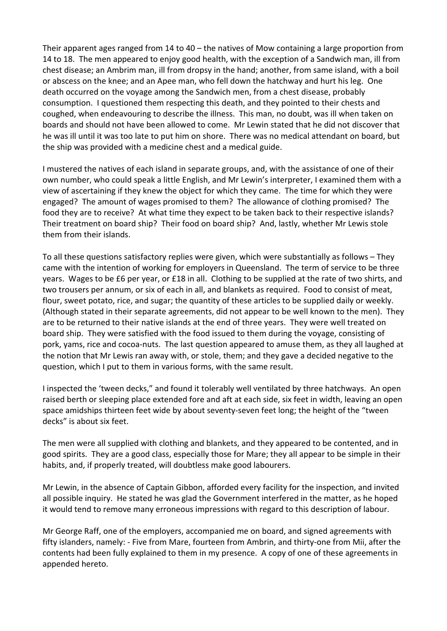Their apparent ages ranged from 14 to  $40 -$  the natives of Mow containing a large proportion from 14 to 18. The men appeared to enjoy good health, with the exception of a Sandwich man, ill from chest disease; an Ambrim man, ill from dropsy in the hand; another, from same island, with a boil or abscess on the knee; and an Apee man, who fell down the hatchway and hurt his leg. One death occurred on the voyage among the Sandwich men, from a chest disease, probably consumption. I questioned them respecting this death, and they pointed to their chests and coughed, when endeavouring to describe the illness. This man, no doubt, was ill when taken on boards and should not have been allowed to come. Mr Lewin stated that he did not discover that he was ill until it was too late to put him on shore. There was no medical attendant on board, but the ship was provided with a medicine chest and a medical guide.

I mustered the natives of each island in separate groups, and, with the assistance of one of their own number, who could speak a little English, and Mr Lewin's interpreter, I examined them with a view of ascertaining if they knew the object for which they came. The time for which they were engaged? The amount of wages promised to them? The allowance of clothing promised? The food they are to receive? At what time they expect to be taken back to their respective islands? Their treatment on board ship? Their food on board ship? And, lastly, whether Mr Lewis stole them from their islands.

To all these questions satisfactory replies were given, which were substantially as follows – They came with the intention of working for employers in Queensland. The term of service to be three years. Wages to be £6 per year, or £18 in all. Clothing to be supplied at the rate of two shirts, and two trousers per annum, or six of each in all, and blankets as required. Food to consist of meat, flour, sweet potato, rice, and sugar; the quantity of these articles to be supplied daily or weekly. (Although stated in their separate agreements, did not appear to be well known to the men). They are to be returned to their native islands at the end of three years. They were well treated on board ship. They were satisfied with the food issued to them during the voyage, consisting of pork, yams, rice and cocoa-nuts. The last question appeared to amuse them, as they all laughed at the notion that Mr Lewis ran away with, or stole, them; and they gave a decided negative to the question, which I put to them in various forms, with the same result.

I inspected the 'tween decks," and found it tolerably well ventilated by three hatchways. An open raised berth or sleeping place extended fore and aft at each side, six feet in width, leaving an open space amidships thirteen feet wide by about seventy-seven feet long; the height of the "tween decks" is about six feet.

The men were all supplied with clothing and blankets, and they appeared to be contented, and in good spirits. They are a good class, especially those for Mare; they all appear to be simple in their habits, and, if properly treated, will doubtless make good labourers.

Mr Lewin, in the absence of Captain Gibbon, afforded every facility for the inspection, and invited all possible inquiry. He stated he was glad the Government interfered in the matter, as he hoped it would tend to remove many erroneous impressions with regard to this description of labour.

Mr George Raff, one of the employers, accompanied me on board, and signed agreements with fifty islanders, namely: - Five from Mare, fourteen from Ambrin, and thirty-one from Mii, after the contents had been fully explained to them in my presence. A copy of one of these agreements in appended hereto.